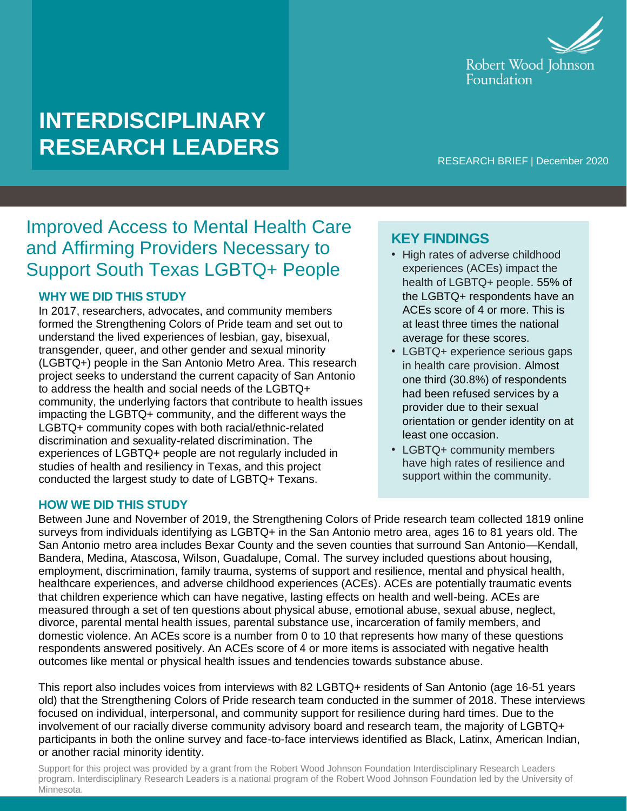

# **INTERDISCIPLINARY RESEARCH LEADERS**

RESEARCH BRIEF | December 2020

## Improved Access to Mental Health Care and Affirming Providers Necessary to Support South Texas LGBTQ+ People

### **WHY WE DID THIS STUDY**

In 2017, researchers, advocates, and community members formed the Strengthening Colors of Pride team and set out to understand the lived experiences of lesbian, gay, bisexual, transgender, queer, and other gender and sexual minority (LGBTQ+) people in the San Antonio Metro Area. This research project seeks to understand the current capacity of San Antonio to address the health and social needs of the LGBTQ+ community, the underlying factors that contribute to health issues impacting the LGBTQ+ community, and the different ways the LGBTQ+ community copes with both racial/ethnic-related discrimination and sexuality-related discrimination. The experiences of LGBTQ+ people are not regularly included in studies of health and resiliency in Texas, and this project conducted the largest study to date of LGBTQ+ Texans.

#### **HOW WE DID THIS STUDY**

# **KEY FINDINGS**

- High rates of adverse childhood experiences (ACEs) impact the health of LGBTQ+ people. 55% of the LGBTQ+ respondents have an ACEs score of 4 or more. This is at least three times the national average for these scores.
- LGBTQ+ experience serious gaps in health care provision. Almost one third (30.8%) of respondents had been refused services by a provider due to their sexual orientation or gender identity on at least one occasion.
- LGBTQ+ community members have high rates of resilience and support within the community.

Between June and November of 2019, the Strengthening Colors of Pride research team collected 1819 online surveys from individuals identifying as LGBTQ+ in the San Antonio metro area, ages 16 to 81 years old. The San Antonio metro area includes Bexar County and the seven counties that surround San Antonio—Kendall, Bandera, Medina, Atascosa, Wilson, Guadalupe, Comal. The survey included questions about housing, employment, discrimination, family trauma, systems of support and resilience, mental and physical health, healthcare experiences, and adverse childhood experiences (ACEs). ACEs are potentially traumatic events that children experience which can have negative, lasting effects on health and well-being. ACEs are measured through a set of ten questions about physical abuse, emotional abuse, sexual abuse, neglect, divorce, parental mental health issues, parental substance use, incarceration of family members, and domestic violence. An ACEs score is a number from 0 to 10 that represents how many of these questions respondents answered positively. An ACEs score of 4 or more items is associated with negative health outcomes like mental or physical health issues and tendencies towards substance abuse.

This report also includes voices from interviews with 82 LGBTQ+ residents of San Antonio (age 16-51 years old) that the Strengthening Colors of Pride research team conducted in the summer of 2018. These interviews focused on individual, interpersonal, and community support for resilience during hard times. Due to the involvement of our racially diverse community advisory board and research team, the majority of LGBTQ+ participants in both the online survey and face-to-face interviews identified as Black, Latinx, American Indian, or another racial minority identity.

Support for this project was provided by a grant from the Robert Wood Johnson Foundation Interdisciplinary Research Leaders program. Interdisciplinary Research Leaders is a national program of the Robert Wood Johnson Foundation led by the University of Minnesota.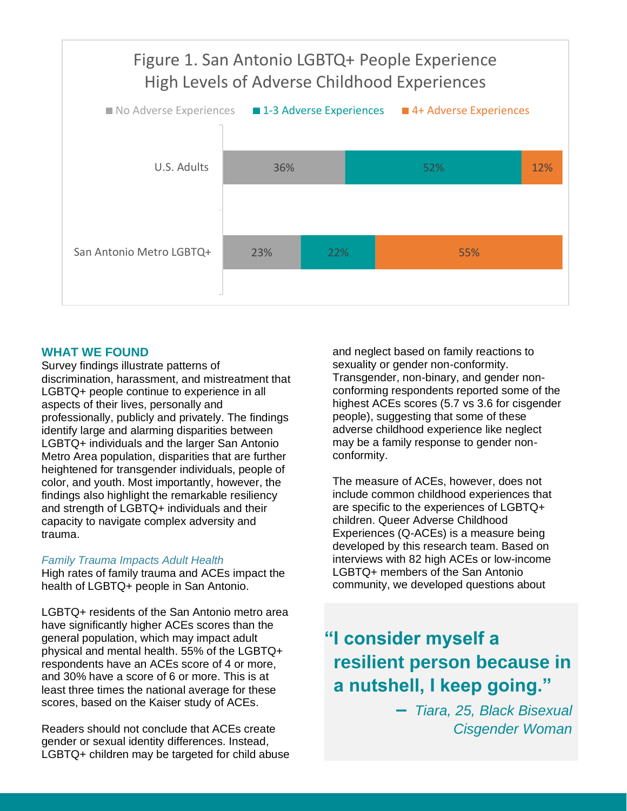

#### **WHAT WE FOUND**

Survey findings illustrate patterns of discrimination, harassment, and mistreatment that LGBTQ+ people continue to experience in all aspects of their lives, personally and professionally, publicly and privately. The findings identify large and alarming disparities between LGBTQ+ individuals and the larger San Antonio Metro Area population, disparities that are further heightened for transgender individuals, people of color, and youth. Most importantly, however, the findings also highlight the remarkable resiliency and strength of LGBTQ+ individuals and their capacity to navigate complex adversity and trauma.

#### *Family Trauma Impacts Adult Health*

High rates of family trauma and ACEs impact the health of LGBTQ+ people in San Antonio.

LGBTQ+ residents of the San Antonio metro area have significantly higher ACEs scores than the general population, which may impact adult physical and mental health. 55% of the LGBTQ+ respondents have an ACEs score of 4 or more, and 30% have a score of 6 or more. This is at least three times the national average for these scores, based on the Kaiser study of ACEs.

Readers should not conclude that ACEs create gender or sexual identity differences. Instead, LGBTQ+ children may be targeted for child abuse and neglect based on family reactions to sexuality or gender non-conformity. Transgender, non-binary, and gender nonconforming respondents reported some of the highest ACEs scores (5.7 vs 3.6 for cisgender people), suggesting that some of these adverse childhood experience like neglect may be a family response to gender nonconformity.

The measure of ACEs, however, does not include common childhood experiences that are specific to the experiences of LGBTQ+ children. Queer Adverse Childhood Experiences (Q-ACEs) is a measure being developed by this research team. Based on interviews with 82 high ACEs or low-income LGBTQ+ members of the San Antonio community, we developed questions about

## **"I consider myself a resilient person because in a nutshell, I keep going."**

**–** *Tiara, 25, Black Bisexual Cisgender Woman*